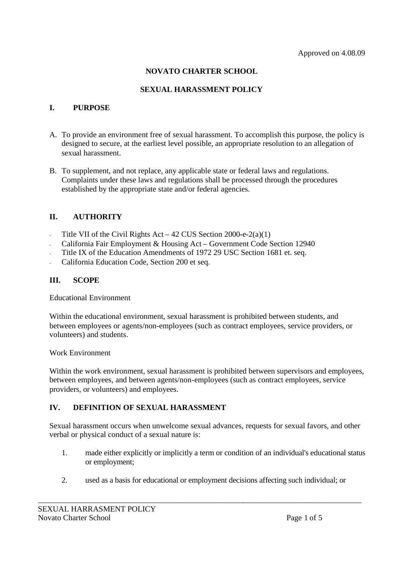# **NOVATO CHARTER SCHOOL**

## **SEXUAL HARASSMENT POLICY**

## **I. PURPOSE**

- A. To provide an environment free of sexual harassment. To accomplish this purpose, the policy is designed to secure, at the earliest level possible, an appropriate resolution to an allegation of sexual harassment.
- B. To supplement, and not replace, any applicable state or federal laws and regulations. Complaints under these laws and regulations shall be processed through the procedures established by the appropriate state and/or federal agencies.

# **II. AUTHORITY**

- Title VII of the Civil Rights Act 42 CUS Section 2000-e-2(a)(1)
- California Fair Employment & Housing Act Government Code Section 12940
- Title IX of the Education Amendments of 1972 29 USC Section 1681 et. seq.
- California Education Code, Section 200 et seq.

# **III. SCOPE**

Educational Environment

Within the educational environment, sexual harassment is prohibited between students, and between employees or agents/non-employees (such as contract employees, service providers, or volunteers) and students.

#### Work Environment

Within the work environment, sexual harassment is prohibited between supervisors and employees, between employees, and between agents/non-employees (such as contract employees, service providers, or volunteers) and employees.

## **IV. DEFINITION OF SEXUAL HARASSMENT**

Sexual harassment occurs when unwelcome sexual advances, requests for sexual favors, and other verbal or physical conduct of a sexual nature is:

- 1. made either explicitly or implicitly a term or condition of an individual's educational status or employment;
- 2. used as a basis for educational or employment decisions affecting such individual; or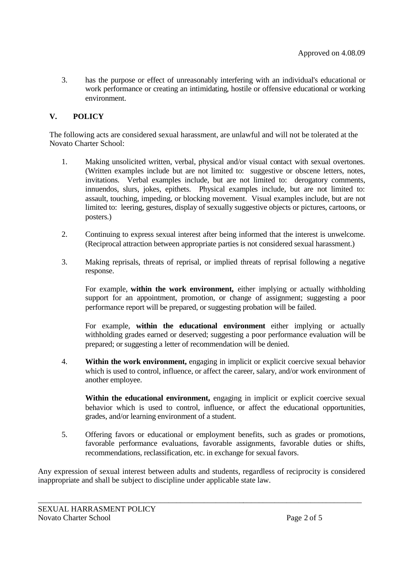3. has the purpose or effect of unreasonably interfering with an individual's educational or work performance or creating an intimidating, hostile or offensive educational or working environment.

# **V. POLICY**

The following acts are considered sexual harassment, are unlawful and will not be tolerated at the Novato Charter School:

- 1. Making unsolicited written, verbal, physical and/or visual contact with sexual overtones. (Written examples include but are not limited to: suggestive or obscene letters, notes, invitations. Verbal examples include, but are not limited to: derogatory comments, innuendos, slurs, jokes, epithets. Physical examples include, but are not limited to: assault, touching, impeding, or blocking movement. Visual examples include, but are not limited to: leering, gestures, display of sexually suggestive objects or pictures, cartoons, or posters.)
- 2. Continuing to express sexual interest after being informed that the interest is unwelcome. (Reciprocal attraction between appropriate parties is not considered sexual harassment.)
- 3. Making reprisals, threats of reprisal, or implied threats of reprisal following a negative response.

For example, **within the work environment,** either implying or actually withholding support for an appointment, promotion, or change of assignment; suggesting a poor performance report will be prepared, or suggesting probation will be failed.

For example, **within the educational environment** either implying or actually withholding grades earned or deserved; suggesting a poor performance evaluation will be prepared; or suggesting a letter of recommendation will be denied.

4. **Within the work environment,** engaging in implicit or explicit coercive sexual behavior which is used to control, influence, or affect the career, salary, and/or work environment of another employee.

**Within the educational environment,** engaging in implicit or explicit coercive sexual behavior which is used to control, influence, or affect the educational opportunities, grades, and/or learning environment of a student.

5. Offering favors or educational or employment benefits, such as grades or promotions, favorable performance evaluations, favorable assignments, favorable duties or shifts, recommendations, reclassification, etc. in exchange for sexual favors.

Any expression of sexual interest between adults and students, regardless of reciprocity is considered inappropriate and shall be subject to discipline under applicable state law.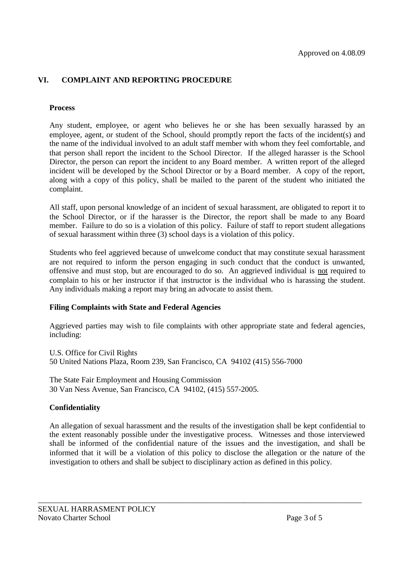# **VI. COMPLAINT AND REPORTING PROCEDURE**

#### **Process**

Any student, employee, or agent who believes he or she has been sexually harassed by an employee, agent, or student of the School, should promptly report the facts of the incident(s) and the name of the individual involved to an adult staff member with whom they feel comfortable, and that person shall report the incident to the School Director. If the alleged harasser is the School Director, the person can report the incident to any Board member. A written report of the alleged incident will be developed by the School Director or by a Board member. A copy of the report, along with a copy of this policy, shall be mailed to the parent of the student who initiated the complaint.

All staff, upon personal knowledge of an incident of sexual harassment, are obligated to report it to the School Director, or if the harasser is the Director, the report shall be made to any Board member. Failure to do so is a violation of this policy. Failure of staff to report student allegations of sexual harassment within three (3) school days is a violation of this policy.

Students who feel aggrieved because of unwelcome conduct that may constitute sexual harassment are not required to inform the person engaging in such conduct that the conduct is unwanted, offensive and must stop, but are encouraged to do so. An aggrieved individual is not required to complain to his or her instructor if that instructor is the individual who is harassing the student. Any individuals making a report may bring an advocate to assist them.

#### **Filing Complaints with State and Federal Agencies**

Aggrieved parties may wish to file complaints with other appropriate state and federal agencies, including:

U.S. Office for Civil Rights 50 United Nations Plaza, Room 239, San Francisco, CA 94102 (415) 556-7000

The State Fair Employment and Housing Commission 30 Van Ness Avenue, San Francisco, CA 94102, (415) 557-2005.

## **Confidentiality**

An allegation of sexual harassment and the results of the investigation shall be kept confidential to the extent reasonably possible under the investigative process. Witnesses and those interviewed shall be informed of the confidential nature of the issues and the investigation, and shall be informed that it will be a violation of this policy to disclose the allegation or the nature of the investigation to others and shall be subject to disciplinary action as defined in this policy.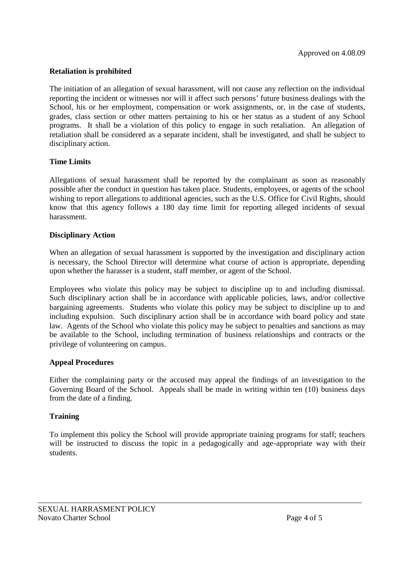## **Retaliation is prohibited**

The initiation of an allegation of sexual harassment, will not cause any reflection on the individual reporting the incident or witnesses nor will it affect such persons' future business dealings with the School, his or her employment, compensation or work assignments, or, in the case of students, grades, class section or other matters pertaining to his or her status as a student of any School programs. It shall be a violation of this policy to engage in such retaliation. An allegation of retaliation shall be considered as a separate incident, shall be investigated, and shall be subject to disciplinary action.

### **Time Limits**

Allegations of sexual harassment shall be reported by the complainant as soon as reasonably possible after the conduct in question has taken place. Students, employees, or agents of the school wishing to report allegations to additional agencies, such as the U.S. Office for Civil Rights, should know that this agency follows a 180 day time limit for reporting alleged incidents of sexual harassment.

### **Disciplinary Action**

When an allegation of sexual harassment is supported by the investigation and disciplinary action is necessary, the School Director will determine what course of action is appropriate, depending upon whether the harasser is a student, staff member, or agent of the School.

Employees who violate this policy may be subject to discipline up to and including dismissal. Such disciplinary action shall be in accordance with applicable policies, laws, and/or collective bargaining agreements. Students who violate this policy may be subject to discipline up to and including expulsion. Such disciplinary action shall be in accordance with board policy and state law. Agents of the School who violate this policy may be subject to penalties and sanctions as may be available to the School, including termination of business relationships and contracts or the privilege of volunteering on campus.

#### **Appeal Procedures**

Either the complaining party or the accused may appeal the findings of an investigation to the Governing Board of the School. Appeals shall be made in writing within ten (10) business days from the date of a finding.

#### **Training**

To implement this policy the School will provide appropriate training programs for staff; teachers will be instructed to discuss the topic in a pedagogically and age-appropriate way with their students.